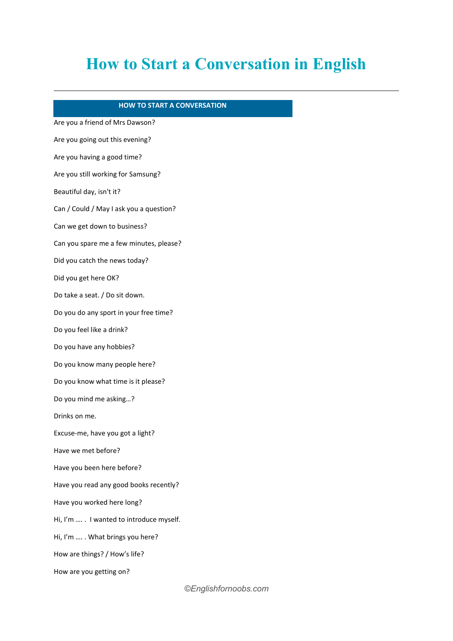## **How to Start a Conversation in English**

## **HOW TO START A CONVERSATION**

Are you a friend of Mrs Dawson? Are you going out this evening? Are you having a good time? Are you still working for Samsung? Beautiful day, isn't it? Can / Could / May I ask you a question? Can we get down to business? Can you spare me a few minutes, please? Did you catch the news today? Did you get here OK? Do take a seat. / Do sit down. Do you do any sport in your free time? Do you feel like a drink? Do you have any hobbies? Do you know many people here? Do you know what time is it please? Do you mind me asking...? Drinks on me. Excuse-me, have you got a light? Have we met before? Have you been here before? Have you read any good books recently? Have you worked here long? Hi, I'm .... . I wanted to introduce myself. Hi, I'm .... . What brings you here? How are things? / How's life? How are you getting on?

*©Englishfornoobs.com*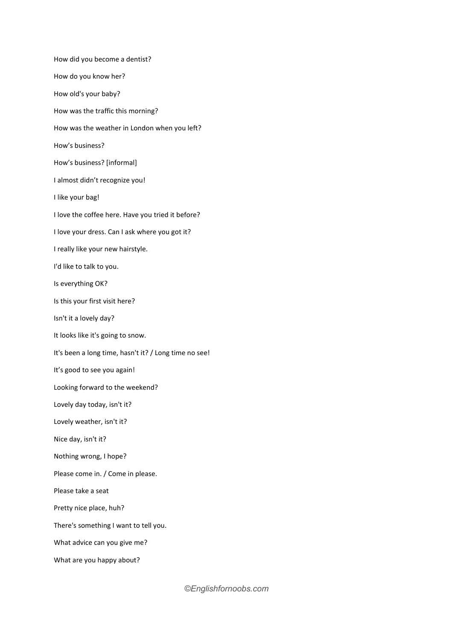How did you become a dentist? How do you know her? How old's your baby? How was the traffic this morning? How was the weather in London when you left? How's business? How's business? [informal] I almost didn't recognize you! I like your bag! I love the coffee here. Have you tried it before? I love your dress. Can I ask where you got it? I really like your new hairstyle. I'd like to talk to you. Is everything OK? Is this your first visit here? Isn't it a lovely day? It looks like it's going to snow. It's been a long time, hasn't it? / Long time no see! It's good to see you again! Looking forward to the weekend? Lovely day today, isn't it? Lovely weather, isn't it? Nice day, isn't it? Nothing wrong, I hope? Please come in. / Come in please. Please take a seat Pretty nice place, huh? There's something I want to tell you. What advice can you give me? What are you happy about?

*©Englishfornoobs.com*